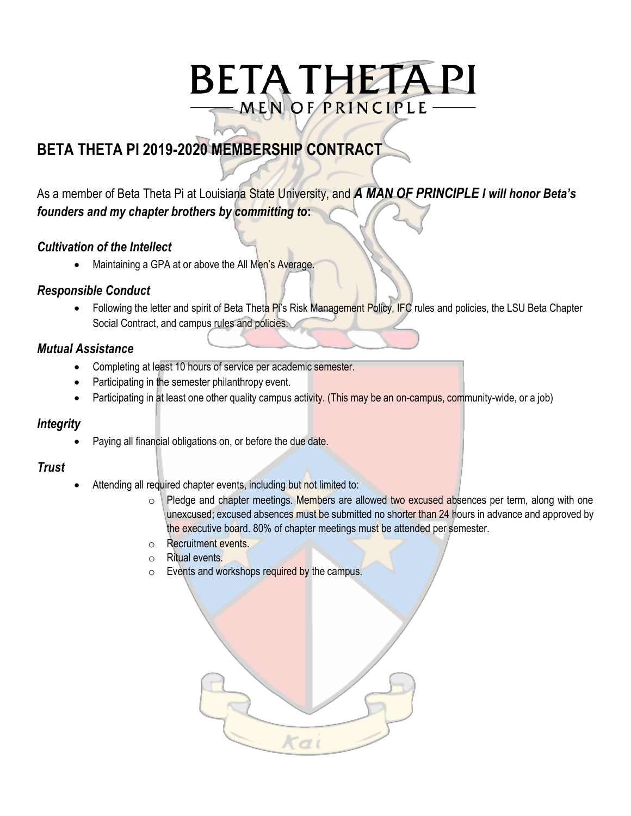# **BETA THETA PI** MEN OF PRINCIPLE -

## **BETA THETA PI 2019-2020 MEMBERSHIP CONTRACT**

### As a member of Beta Theta Pi at Louisiana State University, and *A MAN OF PRINCIPLE I will honor Beta's founders and my chapter brothers by committing to***:**

#### *Cultivation of the Intellect*

Maintaining a GPA at or above the All Men's Average.

#### *Responsible Conduct*

Following the letter and spirit of Beta Theta Pi's Risk Management Policy, IFC rules and policies, the LSU Beta Chapter Social Contract, and campus rules and policies.

#### *Mutual Assistance*

- Completing at least 10 hours of service per academic semester.
- Participating in the semester philanthropy event.
- Participating in at least one other quality campus activity. (This may be an on-campus, community-wide, or a job)

#### *Integrity*

Paying all financial obligations on, or before the due date.

#### *Trust*

- Attending all required chapter events, including but not limited to:
	- $\circ$  Pledge and chapter meetings. Members are allowed two excused absences per term, along with one unexcused; excused absences must be submitted no shorter than 24 hours in advance and approved by the executive board. 80% of chapter meetings must be attended per semester.
	- o Recruitment events.
	- o Ritual events.
	- o Events and workshops required by the campus.